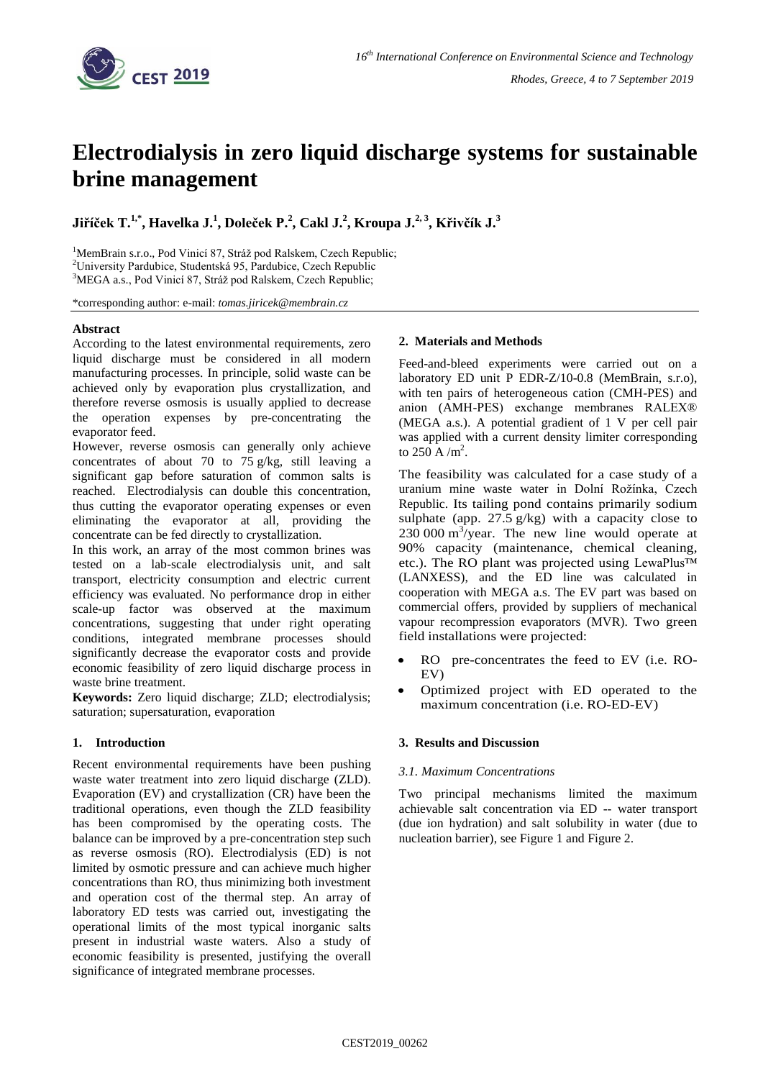

# **Electrodialysis in zero liquid discharge systems for sustainable brine management**

**Jiříček T. 1,\* , Havelka J. 1 , Doleček P.<sup>2</sup> , Cakl J.<sup>2</sup> , Kroupa J.2, <sup>3</sup> , Křivčík J.<sup>3</sup>**

<sup>1</sup>MemBrain s.r.o., Pod Vinicí 87, Stráž pod Ralskem, Czech Republic; <sup>2</sup>University Pardubice, Studentská 95, Pardubice, Czech Republic <sup>3</sup>MEGA a.s., Pod Vinicí 87, Stráž pod Ralskem, Czech Republic;

\*corresponding author: e-mail: *tomas.jiricek@membrain.cz*

# **Abstract**

According to the latest environmental requirements, zero liquid discharge must be considered in all modern manufacturing processes. In principle, solid waste can be achieved only by evaporation plus crystallization, and therefore reverse osmosis is usually applied to decrease the operation expenses by pre-concentrating the evaporator feed.

However, reverse osmosis can generally only achieve concentrates of about 70 to 75 g/kg, still leaving a significant gap before saturation of common salts is reached. Electrodialysis can double this concentration, thus cutting the evaporator operating expenses or even eliminating the evaporator at all, providing the concentrate can be fed directly to crystallization.

In this work, an array of the most common brines was tested on a lab-scale electrodialysis unit, and salt transport, electricity consumption and electric current efficiency was evaluated. No performance drop in either scale-up factor was observed at the maximum concentrations, suggesting that under right operating conditions, integrated membrane processes should significantly decrease the evaporator costs and provide economic feasibility of zero liquid discharge process in waste brine treatment.

**Keywords:** Zero liquid discharge; ZLD; electrodialysis; saturation; supersaturation, evaporation

# **1. Introduction**

Recent environmental requirements have been pushing waste water treatment into zero liquid discharge (ZLD). Evaporation (EV) and crystallization (CR) have been the traditional operations, even though the ZLD feasibility has been compromised by the operating costs. The balance can be improved by a pre-concentration step such as reverse osmosis (RO). Electrodialysis (ED) is not limited by osmotic pressure and can achieve much higher concentrations than RO, thus minimizing both investment and operation cost of the thermal step. An array of laboratory ED tests was carried out, investigating the operational limits of the most typical inorganic salts present in industrial waste waters. Also a study of economic feasibility is presented, justifying the overall significance of integrated membrane processes.

## **2. Materials and Methods**

Feed-and-bleed experiments were carried out on a laboratory ED unit P EDR-Z/10-0.8 (MemBrain, s.r.o), with ten pairs of heterogeneous cation (CMH-PES) and anion (AMH-PES) exchange membranes RALEX® (MEGA a.s.). A potential gradient of 1 V per cell pair was applied with a current density limiter corresponding to  $250 \text{ A/m}^2$ .

The feasibility was calculated for a case study of a uranium mine waste water in Dolní Rožínka, Czech Republic. Its tailing pond contains primarily sodium sulphate (app. 27.5 g/kg) with a capacity close to 230 000 m 3 /year. The new line would operate at 90% capacity (maintenance, chemical cleaning, etc.). The RO plant was projected using LewaPlus™ (LANXESS), and the ED line was calculated in cooperation with MEGA a.s. The EV part was based on commercial offers, provided by suppliers of mechanical vapour recompression evaporators (MVR). Two green field installations were projected:

- RO pre-concentrates the feed to EV (i.e. RO-EV)
- Optimized project with ED operated to the maximum concentration (i.e. RO-ED-EV)

# **3. Results and Discussion**

## *3.1. Maximum Concentrations*

Two principal mechanisms limited the maximum achievable salt concentration via ED -- water transport (due ion hydration) and salt solubility in water (due to nucleation barrier), see Figure 1 and Figure 2.